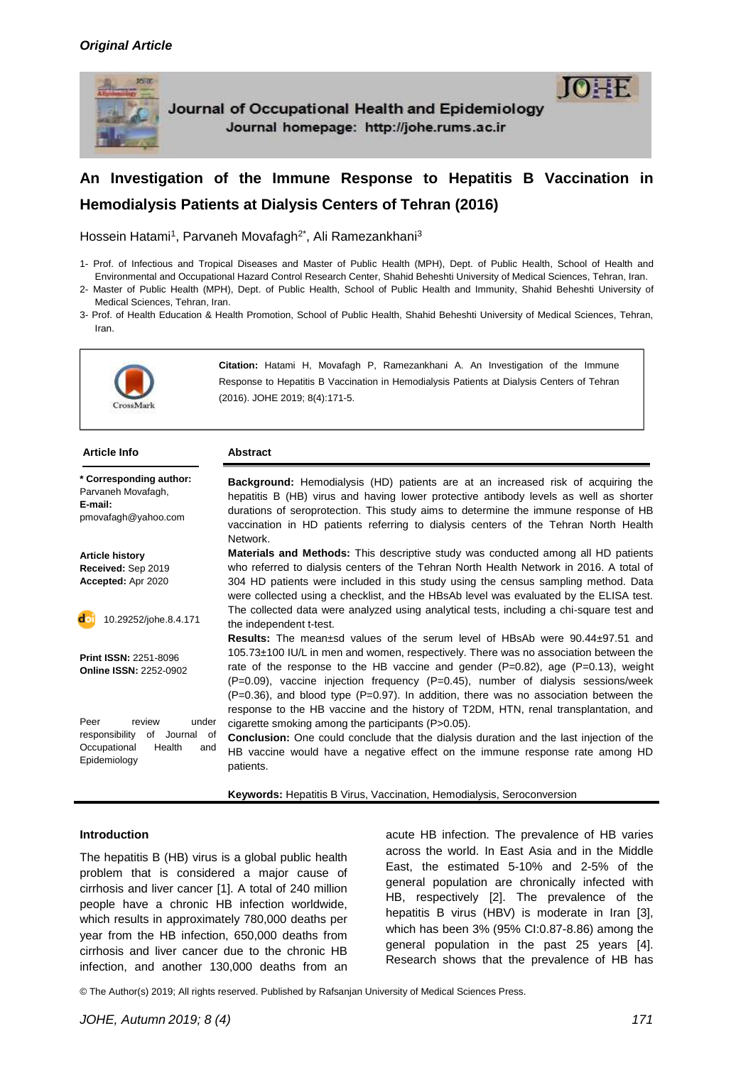

Journal of Occupational Health and Epidemiology Journal homepage: http://johe.rums.ac.ir



# **An Investigation of the Immune Response to Hepatitis B Vaccination in Hemodialysis Patients at Dialysis Centers of Tehran (2016)**

Hossein Hatami<sup>1</sup>, Parvaneh Movafagh<sup>2\*</sup>, Ali Ramezankhani<sup>3</sup>

- 1- Prof. of Infectious and Tropical Diseases and Master of Public Health (MPH), Dept. of Public Health, School of Health and Environmental and Occupational Hazard Control Research Center, Shahid Beheshti University of Medical Sciences, Tehran, Iran.
- 2- Master of Public Health (MPH), Dept. of Public Health, School of Public Health and Immunity, Shahid Beheshti University of Medical Sciences, Tehran, Iran.
- 3- Prof. of Health Education & Health Promotion, School of Public Health, Shahid Beheshti University of Medical Sciences, Tehran, Iran.



**Citation:** Hatami H, Movafagh P, Ramezankhani A. An Investigation of the Immune Response to Hepatitis B Vaccination in Hemodialysis Patients at Dialysis Centers of Tehran (2016). JOHE 2019; 8(4):171-5.

### **Article Info Abstract**

| * Corresponding author:<br>Parvaneh Movafagh,<br>E-mail:<br>pmovafagh@yahoo.com                                   | <b>Background:</b> Hemodialysis (HD) patients are at an increased risk of acquiring the<br>hepatitis B (HB) virus and having lower protective antibody levels as well as shorter<br>durations of seroprotection. This study aims to determine the immune response of HB<br>vaccination in HD patients referring to dialysis centers of the Tehran North Health<br>Network.                                                                                                                                                                             |  |  |
|-------------------------------------------------------------------------------------------------------------------|--------------------------------------------------------------------------------------------------------------------------------------------------------------------------------------------------------------------------------------------------------------------------------------------------------------------------------------------------------------------------------------------------------------------------------------------------------------------------------------------------------------------------------------------------------|--|--|
| <b>Article history</b><br>Received: Sep 2019<br>Accepted: Apr 2020                                                | <b>Materials and Methods:</b> This descriptive study was conducted among all HD patients<br>who referred to dialysis centers of the Tehran North Health Network in 2016. A total of<br>304 HD patients were included in this study using the census sampling method. Data<br>were collected using a checklist, and the HBsAb level was evaluated by the ELISA test.                                                                                                                                                                                    |  |  |
| do<br>10.29252/johe.8.4.171                                                                                       | The collected data were analyzed using analytical tests, including a chi-square test and<br>the independent t-test.                                                                                                                                                                                                                                                                                                                                                                                                                                    |  |  |
| <b>Print ISSN: 2251-8096</b><br><b>Online ISSN: 2252-0902</b>                                                     | <b>Results:</b> The mean±sd values of the serum level of HBsAb were 90.44±97.51 and<br>105.73±100 IU/L in men and women, respectively. There was no association between the<br>rate of the response to the HB vaccine and gender ( $P=0.82$ ), age ( $P=0.13$ ), weight<br>$(P=0.09)$ , vaccine injection frequency $(P=0.45)$ , number of dialysis sessions/week<br>$(P=0.36)$ , and blood type $(P=0.97)$ . In addition, there was no association between the<br>response to the HB vaccine and the history of T2DM, HTN, renal transplantation, and |  |  |
| Peer<br>review<br>under<br>of<br>responsibility<br>Journal<br>of<br>Occupational<br>Health<br>and<br>Epidemiology | cigarette smoking among the participants (P>0.05).<br><b>Conclusion:</b> One could conclude that the dialysis duration and the last injection of the<br>HB vaccine would have a negative effect on the immune response rate among HD<br>patients.                                                                                                                                                                                                                                                                                                      |  |  |

**Keywords:** Hepatitis B Virus, Vaccination, Hemodialysis, Seroconversion

### **Introduction**

The hepatitis B (HB) virus is a global public health problem that is considered a major cause of cirrhosis and liver cancer [1]. A total of 240 million people have a chronic HB infection worldwide, which results in approximately 780,000 deaths per year from the HB infection, 650,000 deaths from cirrhosis and liver cancer due to the chronic HB infection, and another 130,000 deaths from an

acute HB infection. The prevalence of HB varies across the world. In East Asia and in the Middle East, the estimated 5-10% and 2-5% of the general population are chronically infected with HB, respectively [2]. The prevalence of the hepatitis B virus (HBV) is moderate in Iran [3], which has been 3% (95% CI:0.87-8.86) among the general population in the past 25 years [4]. Research shows that the prevalence of HB has

© The Author(s) 2019; All rights reserved. Published by Rafsanjan University of Medical Sciences Press.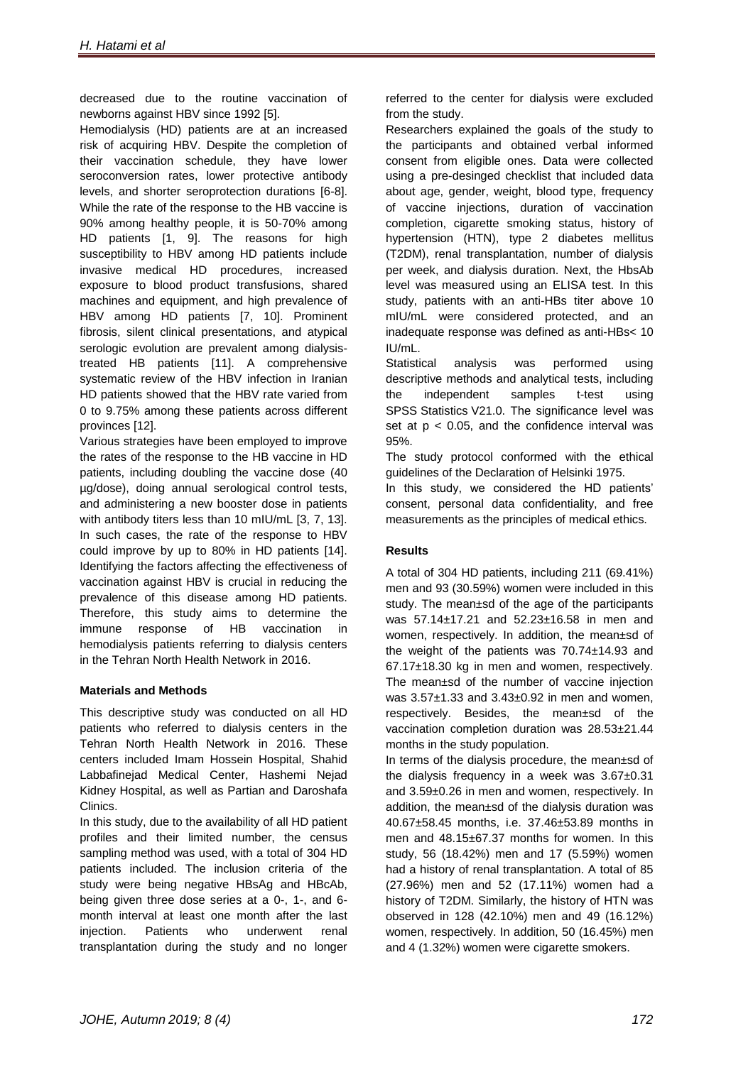decreased due to the routine vaccination of newborns against HBV since 1992 [5].

Hemodialysis (HD) patients are at an increased risk of acquiring HBV. Despite the completion of their vaccination schedule, they have lower seroconversion rates, lower protective antibody levels, and shorter seroprotection durations [6-8]. While the rate of the response to the HB vaccine is 90% among healthy people, it is 50-70% among HD patients [1, 9]. The reasons for high susceptibility to HBV among HD patients include invasive medical HD procedures, increased exposure to blood product transfusions, shared machines and equipment, and high prevalence of HBV among HD patients [7, 10]. Prominent fibrosis, silent clinical presentations, and atypical serologic evolution are prevalent among dialysistreated HB patients [11]. A comprehensive systematic review of the HBV infection in Iranian HD patients showed that the HBV rate varied from 0 to 9.75% among these patients across different provinces [12].

Various strategies have been employed to improve the rates of the response to the HB vaccine in HD patients, including doubling the vaccine dose (40 µg/dose), doing annual serological control tests, and administering a new booster dose in patients with antibody titers less than 10 mIU/mL [3, 7, 13]. In such cases, the rate of the response to HBV could improve by up to 80% in HD patients [14]. Identifying the factors affecting the effectiveness of vaccination against HBV is crucial in reducing the prevalence of this disease among HD patients. Therefore, this study aims to determine the immune response of HB vaccination in hemodialysis patients referring to dialysis centers in the Tehran North Health Network in 2016.

# **Materials and Methods**

This descriptive study was conducted on all HD patients who referred to dialysis centers in the Tehran North Health Network in 2016. These centers included Imam Hossein Hospital, Shahid Labbafinejad Medical Center, Hashemi Nejad Kidney Hospital, as well as Partian and Daroshafa Clinics.

In this study, due to the availability of all HD patient profiles and their limited number, the census sampling method was used, with a total of 304 HD patients included. The inclusion criteria of the study were being negative HBsAg and HBcAb, being given three dose series at a 0-, 1-, and 6 month interval at least one month after the last injection. Patients who underwent renal transplantation during the study and no longer

referred to the center for dialysis were excluded from the study.

Researchers explained the goals of the study to the participants and obtained verbal informed consent from eligible ones. Data were collected using a pre-desinged checklist that included data about age, gender, weight, blood type, frequency of vaccine injections, duration of vaccination completion, cigarette smoking status, history of hypertension (HTN), type 2 diabetes mellitus (T2DM), renal transplantation, number of dialysis per week, and dialysis duration. Next, the HbsAb level was measured using an ELISA test. In this study, patients with an anti-HBs titer above 10 mIU/mL were considered protected, and an inadequate response was defined as anti-HBs< 10 IU/mL.

Statistical analysis was performed using descriptive methods and analytical tests, including the independent samples t-test using SPSS Statistics V21.0. The significance level was set at  $p < 0.05$ , and the confidence interval was 95%.

The study protocol conformed with the ethical guidelines of the Declaration of Helsinki 1975.

In this study, we considered the HD patients' consent, personal data confidentiality, and free measurements as the principles of medical ethics.

# **Results**

A total of 304 HD patients, including 211 (69.41%) men and 93 (30.59%) women were included in this study. The mean±sd of the age of the participants was 57.14±17.21 and 52.23±16.58 in men and women, respectively. In addition, the mean±sd of the weight of the patients was 70.74±14.93 and 67.17±18.30 kg in men and women, respectively. The mean±sd of the number of vaccine injection was 3.57±1.33 and 3.43±0.92 in men and women, respectively. Besides, the mean±sd of the vaccination completion duration was 28.53±21.44 months in the study population.

In terms of the dialysis procedure, the mean±sd of the dialysis frequency in a week was 3.67±0.31 and 3.59±0.26 in men and women, respectively. In addition, the mean±sd of the dialysis duration was 40.67±58.45 months, i.e. 37.46±53.89 months in men and 48.15±67.37 months for women. In this study, 56 (18.42%) men and 17 (5.59%) women had a history of renal transplantation. A total of 85 (27.96%) men and 52 (17.11%) women had a history of T2DM. Similarly, the history of HTN was observed in 128 (42.10%) men and 49 (16.12%) women, respectively. In addition, 50 (16.45%) men and 4 (1.32%) women were cigarette smokers.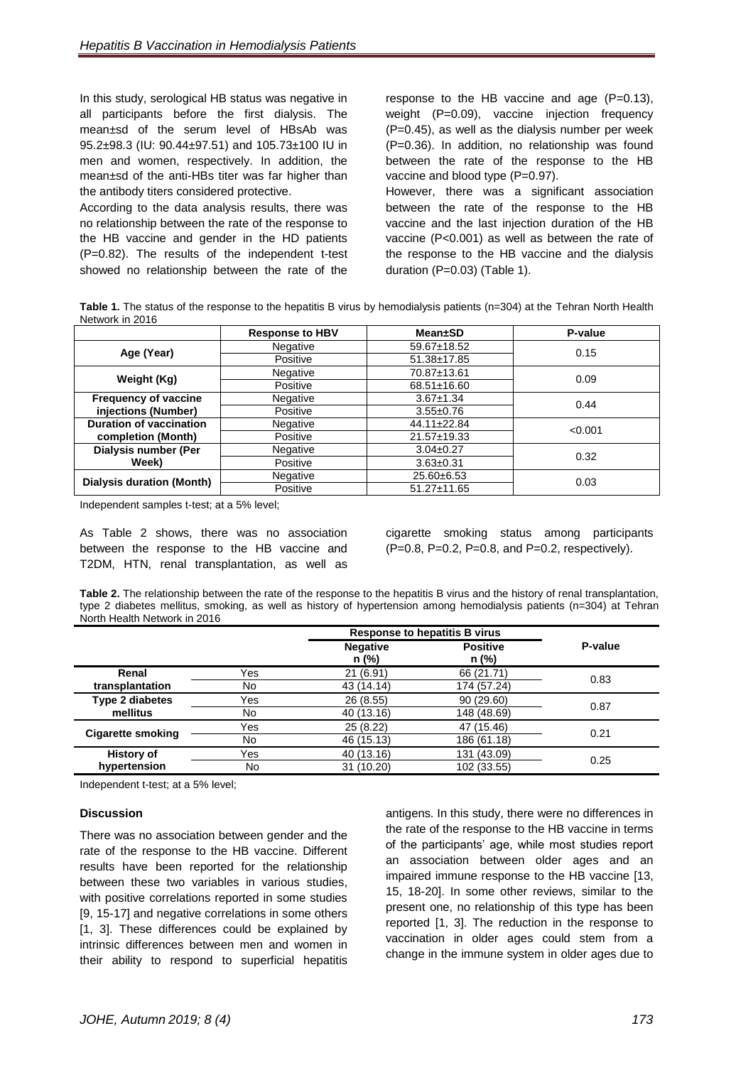In this study, serological HB status was negative in all participants before the first dialysis. The mean±sd of the serum level of HBsAb was 95.2±98.3 (IU: 90.44±97.51) and 105.73±100 IU in men and women, respectively. In addition, the mean±sd of the anti-HBs titer was far higher than the antibody titers considered protective.

According to the data analysis results, there was no relationship between the rate of the response to the HB vaccine and gender in the HD patients (P=0.82). The results of the independent t-test showed no relationship between the rate of the

response to the HB vaccine and age (P=0.13), weight (P=0.09), vaccine injection frequency (P=0.45), as well as the dialysis number per week (P=0.36). In addition, no relationship was found between the rate of the response to the HB vaccine and blood type (P=0.97).

However, there was a significant association between the rate of the response to the HB vaccine and the last injection duration of the HB vaccine (P<0.001) as well as between the rate of the response to the HB vaccine and the dialysis duration (P=0.03) (Table 1).

**Table 1.** The status of the response to the hepatitis B virus by hemodialysis patients (n=304) at the Tehran North Health Network in 2016

|                                  | <b>Response to HBV</b> | <b>Mean</b> ±SD   | P-value |  |
|----------------------------------|------------------------|-------------------|---------|--|
|                                  | Negative               | 59.67±18.52       | 0.15    |  |
| Age (Year)                       | Positive               | 51.38±17.85       |         |  |
| Weight (Kg)                      | Negative               | 70.87±13.61       | 0.09    |  |
|                                  | Positive               | 68.51±16.60       |         |  |
| <b>Frequency of vaccine</b>      | Negative               | $3.67 \pm 1.34$   | 0.44    |  |
| injections (Number)              | Positive               | $3.55 \pm 0.76$   |         |  |
| <b>Duration of vaccination</b>   | Negative               |                   | < 0.001 |  |
| completion (Month)               | Positive               | 21.57±19.33       |         |  |
| <b>Dialysis number (Per</b>      | Negative               | $3.04 \pm 0.27$   | 0.32    |  |
| Week)                            | Positive               | $3.63 \pm 0.31$   |         |  |
| <b>Dialysis duration (Month)</b> | Negative               | $25.60\pm 6.53$   | 0.03    |  |
|                                  | Positive               | $51.27 \pm 11.65$ |         |  |

Independent samples t-test; at a 5% level;

As Table 2 shows, there was no association between the response to the HB vaccine and T2DM, HTN, renal transplantation, as well as

cigarette smoking status among participants (P=0.8, P=0.2, P=0.8, and P=0.2, respectively).

**Table 2.** The relationship between the rate of the response to the hepatitis B virus and the history of renal transplantation, type 2 diabetes mellitus, smoking, as well as history of hypertension among hemodialysis patients (n=304) at Tehran North Health Network in 2016

|                                    |     | <b>Response to hepatitis B virus</b> |                          |         |
|------------------------------------|-----|--------------------------------------|--------------------------|---------|
|                                    |     | <b>Negative</b><br>$n$ (%)           | <b>Positive</b><br>n (%) | P-value |
| Renal                              | Yes | 21 (6.91)                            | 66 (21.71)               |         |
| transplantation                    | No. | 43 (14.14)                           | 174 (57.24)              | 0.83    |
| <b>Type 2 diabetes</b><br>mellitus | Yes | 26 (8.55)                            | 90 (29.60)               | 0.87    |
|                                    | No. | 40 (13.16)                           | 148 (48.69)              |         |
| <b>Cigarette smoking</b>           | Yes | 25 (8.22)                            | 47 (15.46)               | 0.21    |
|                                    | No  | 46 (15.13)                           | 186 (61.18)              |         |
| <b>History of</b>                  | Yes | 40 (13.16)                           | 131 (43.09)              | 0.25    |
| hypertension                       | No  | 31 (10.20)                           | 102 (33.55)              |         |

Independent t-test; at a 5% level;

### **Discussion**

There was no association between gender and the rate of the response to the HB vaccine. Different results have been reported for the relationship between these two variables in various studies, with positive correlations reported in some studies [9, 15-17] and negative correlations in some others [1, 3]. These differences could be explained by intrinsic differences between men and women in their ability to respond to superficial hepatitis

antigens. In this study, there were no differences in the rate of the response to the HB vaccine in terms of the participants' age, while most studies report an association between older ages and an impaired immune response to the HB vaccine [13, 15, 18-20]. In some other reviews, similar to the present one, no relationship of this type has been reported [1, 3]. The reduction in the response to vaccination in older ages could stem from a change in the immune system in older ages due to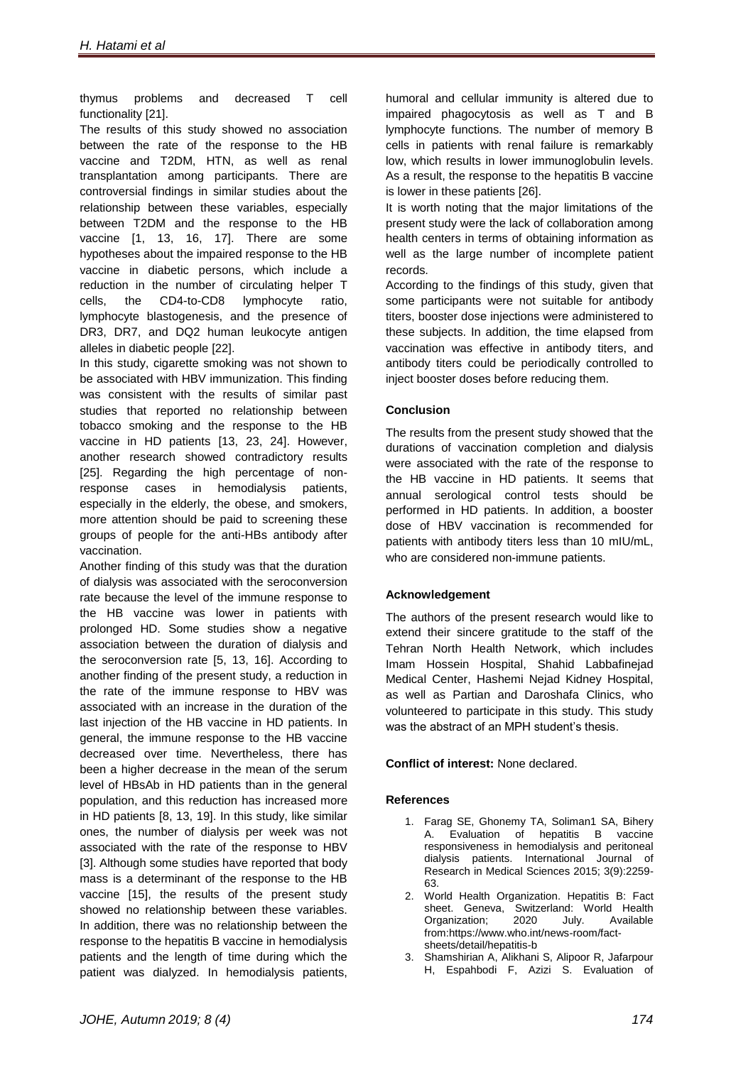thymus problems and decreased T cell functionality [21].

The results of this study showed no association between the rate of the response to the HB vaccine and T2DM, HTN, as well as renal transplantation among participants. There are controversial findings in similar studies about the relationship between these variables, especially between T2DM and the response to the HB vaccine [1, 13, 16, 17]. There are some hypotheses about the impaired response to the HB vaccine in diabetic persons, which include a reduction in the number of circulating helper T cells, the CD4-to-CD8 lymphocyte ratio, lymphocyte blastogenesis, and the presence of DR3, DR7, and DQ2 human leukocyte antigen alleles in diabetic people [22].

In this study, cigarette smoking was not shown to be associated with HBV immunization. This finding was consistent with the results of similar past studies that reported no relationship between tobacco smoking and the response to the HB vaccine in HD patients [13, 23, 24]. However, another research showed contradictory results [25]. Regarding the high percentage of nonresponse cases in hemodialysis patients, especially in the elderly, the obese, and smokers, more attention should be paid to screening these groups of people for the anti-HBs antibody after vaccination.

Another finding of this study was that the duration of dialysis was associated with the seroconversion rate because the level of the immune response to the HB vaccine was lower in patients with prolonged HD. Some studies show a negative association between the duration of dialysis and the seroconversion rate [5, 13, 16]. According to another finding of the present study, a reduction in the rate of the immune response to HBV was associated with an increase in the duration of the last injection of the HB vaccine in HD patients. In general, the immune response to the HB vaccine decreased over time. Nevertheless, there has been a higher decrease in the mean of the serum level of HBsAb in HD patients than in the general population, and this reduction has increased more in HD patients [8, 13, 19]. In this study, like similar ones, the number of dialysis per week was not associated with the rate of the response to HBV [3]. Although some studies have reported that body mass is a determinant of the response to the HB vaccine [15], the results of the present study showed no relationship between these variables. In addition, there was no relationship between the response to the hepatitis B vaccine in hemodialysis patients and the length of time during which the patient was dialyzed. In hemodialysis patients,

humoral and cellular immunity is altered due to impaired phagocytosis as well as T and B lymphocyte functions. The number of memory B cells in patients with renal failure is remarkably low, which results in lower immunoglobulin levels. As a result, the response to the hepatitis B vaccine is lower in these patients [26].

It is worth noting that the major limitations of the present study were the lack of collaboration among health centers in terms of obtaining information as well as the large number of incomplete patient records.

According to the findings of this study, given that some participants were not suitable for antibody titers, booster dose injections were administered to these subjects. In addition, the time elapsed from vaccination was effective in antibody titers, and antibody titers could be periodically controlled to inject booster doses before reducing them.

# **Conclusion**

The results from the present study showed that the durations of vaccination completion and dialysis were associated with the rate of the response to the HB vaccine in HD patients. It seems that annual serological control tests should be performed in HD patients. In addition, a booster dose of HBV vaccination is recommended for patients with antibody titers less than 10 mIU/mL, who are considered non-immune patients.

# **Acknowledgement**

The authors of the present research would like to extend their sincere gratitude to the staff of the Tehran North Health Network, which includes Imam Hossein Hospital, Shahid Labbafinejad Medical Center, Hashemi Nejad Kidney Hospital, as well as Partian and Daroshafa Clinics, who volunteered to participate in this study. This study was the abstract of an MPH student's thesis.

# **Conflict of interest:** None declared.

# **References**

- 1. Farag SE, Ghonemy TA, Soliman1 SA, Bihery A. Evaluation of hepatitis B vaccine responsiveness in hemodialysis and peritoneal dialysis patients. International Journal of Research in Medical Sciences 2015; 3(9):2259- 63.
- 2. World Health Organization. Hepatitis B: Fact sheet. Geneva, Switzerland: World Health Organization; 2020 July. Available from:https://www.who.int/news-room/factsheets/detail/hepatitis-b
- 3. Shamshirian A, Alikhani S, Alipoor R, Jafarpour H, Espahbodi F, Azizi S. Evaluation of